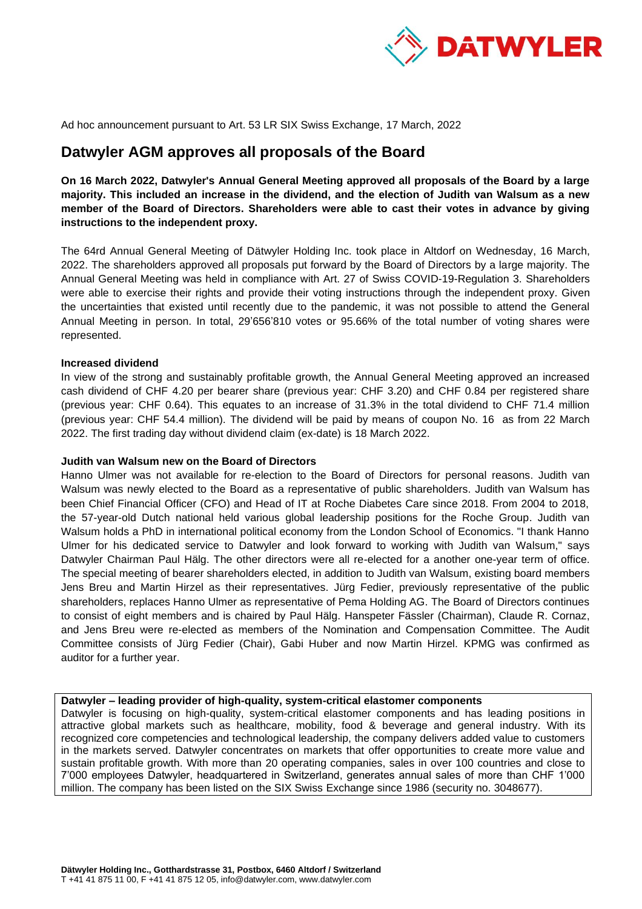

Ad hoc announcement pursuant to Art. 53 LR SIX Swiss Exchange, 17 March, 2022

# **Datwyler AGM approves all proposals of the Board**

**On 16 March 2022, Datwyler's Annual General Meeting approved all proposals of the Board by a large majority. This included an increase in the dividend, and the election of Judith van Walsum as a new member of the Board of Directors. Shareholders were able to cast their votes in advance by giving instructions to the independent proxy.** 

The 64rd Annual General Meeting of Dätwyler Holding Inc. took place in Altdorf on Wednesday, 16 March, 2022. The shareholders approved all proposals put forward by the Board of Directors by a large majority. The Annual General Meeting was held in compliance with Art. 27 of Swiss COVID-19-Regulation 3. Shareholders were able to exercise their rights and provide their voting instructions through the independent proxy. Given the uncertainties that existed until recently due to the pandemic, it was not possible to attend the General Annual Meeting in person. In total, 29'656'810 votes or 95.66% of the total number of voting shares were represented.

### **Increased dividend**

In view of the strong and sustainably profitable growth, the Annual General Meeting approved an increased cash dividend of CHF 4.20 per bearer share (previous year: CHF 3.20) and CHF 0.84 per registered share (previous year: CHF 0.64). This equates to an increase of 31.3% in the total dividend to CHF 71.4 million (previous year: CHF 54.4 million). The dividend will be paid by means of coupon No. 16 as from 22 March 2022. The first trading day without dividend claim (ex-date) is 18 March 2022.

#### **Judith van Walsum new on the Board of Directors**

Hanno Ulmer was not available for re-election to the Board of Directors for personal reasons. Judith van Walsum was newly elected to the Board as a representative of public shareholders. Judith van Walsum has been Chief Financial Officer (CFO) and Head of IT at Roche Diabetes Care since 2018. From 2004 to 2018, the 57-year-old Dutch national held various global leadership positions for the Roche Group. Judith van Walsum holds a PhD in international political economy from the London School of Economics. "I thank Hanno Ulmer for his dedicated service to Datwyler and look forward to working with Judith van Walsum," says Datwyler Chairman Paul Hälg. The other directors were all re-elected for a another one-year term of office. The special meeting of bearer shareholders elected, in addition to Judith van Walsum, existing board members Jens Breu and Martin Hirzel as their representatives. Jürg Fedier, previously representative of the public shareholders, replaces Hanno Ulmer as representative of Pema Holding AG. The Board of Directors continues to consist of eight members and is chaired by Paul Hälg. Hanspeter Fässler (Chairman), Claude R. Cornaz, and Jens Breu were re-elected as members of the Nomination and Compensation Committee. The Audit Committee consists of Jürg Fedier (Chair), Gabi Huber and now Martin Hirzel. KPMG was confirmed as auditor for a further year.

#### **Datwyler – leading provider of high-quality, system-critical elastomer components**

Datwyler is focusing on high-quality, system-critical elastomer components and has leading positions in attractive global markets such as healthcare, mobility, food & beverage and general industry. With its recognized core competencies and technological leadership, the company delivers added value to customers in the markets served. Datwyler concentrates on markets that offer opportunities to create more value and sustain profitable growth. With more than 20 operating companies, sales in over 100 countries and close to 7'000 employees Datwyler, headquartered in Switzerland, generates annual sales of more than CHF 1'000 million. The company has been listed on the SIX Swiss Exchange since 1986 (security no. 3048677).